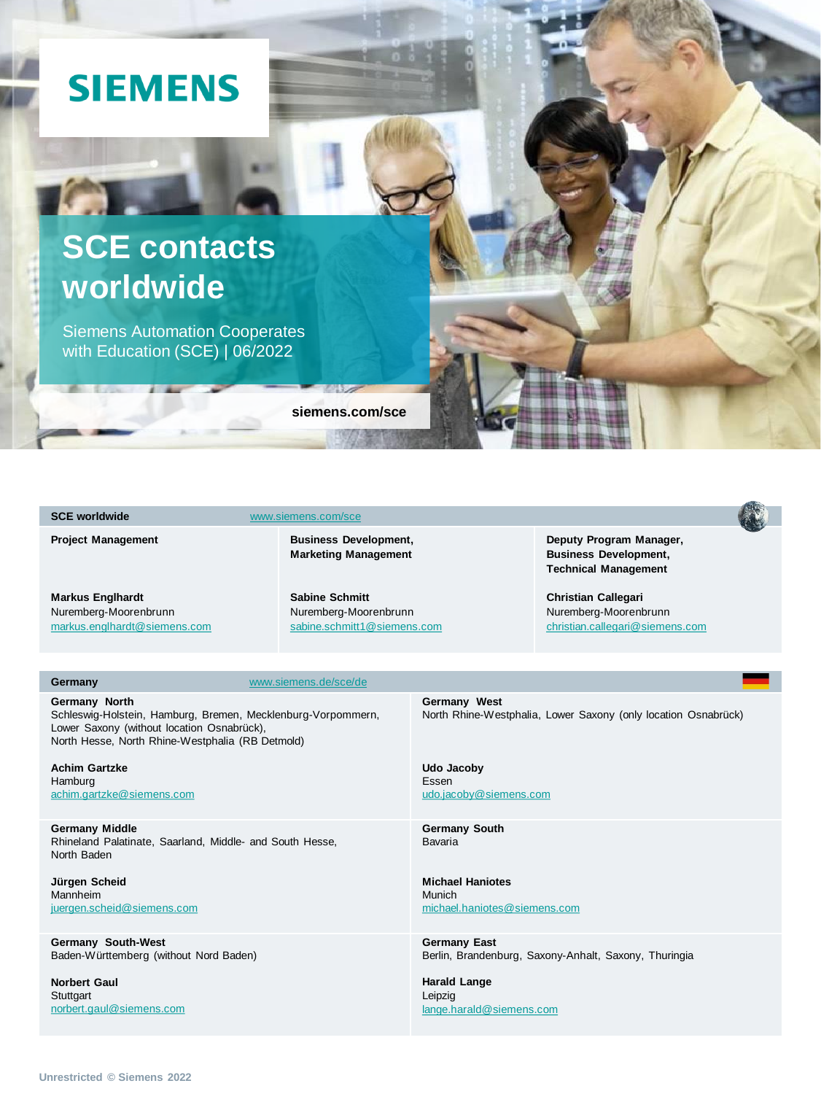# **SIEMENS**

# **SCE contacts worldwide**

Siemens Automation Cooperates with Education (SCE) | 06/2022

**siemens.com/sce**

#### **SCE worldwide** [www.siemens.com/sce](http://www.siemens.com/sce)

**TELEVISION** 

**Project Management** 

**Business Development, Marketing Management**

**Markus Englhardt** Nuremberg-Moorenbrunn [markus.englhardt@siemens.com](mailto:markus.englhardt@siemens.com) **Sabine Schmitt** Nuremberg-Moorenbrunn [sabine.schmitt1@siemens.com](mailto:sabine.stengel@siemens.com) **Deputy Program Manager, Business Development, Technical Management** 

**Christian Callegari** Nuremberg-Moorenbrunn [christian.callegari@siemens.com](mailto:christian.callegari@siemens.com)

#### **Germany** [www.siemens.de/sce/de](http://www.siemens.de/sce/de)

**Germany North** Schleswig-Holstein, Hamburg, Bremen, Mecklenburg-Vorpommern, Lower Saxony (without location Osnabrück), North Hesse, North Rhine-Westphalia (RB Detmold)

**Achim Gartzke** Hamburg [achim.gartzke@siemens.com](mailto:achim.gartzke@siemens.com)

**Germany Middle** Rhineland Palatinate, Saarland, Middle- and South Hesse, North Baden

**Jürgen Scheid** Mannheim [juergen.scheid@siemens.com](mailto:juergen.scheid@siemens.com)

**Germany South-West** Baden-Württemberg (without Nord Baden)

**Norbert Gaul Stuttgart** [norbert.gaul@siemens.com](mailto:norbert.gaul@siemens.com) **Germany West** North Rhine-Westphalia, Lower Saxony (only location Osnabrück)

**Udo Jacoby** Essen [udo.jacoby@siemens.com](mailto:udo.jacoby@siemens.com)

**Germany South** Bavaria

**Michael Haniotes** Munich [michael.haniotes@siemens.com](mailto:michael.haniotes@siemens.com)

**Germany East** Berlin, Brandenburg, Saxony-Anhalt, Saxony, Thuringia

**Harald Lange** Leipzig [lange.harald@siemens.com](mailto:lange.harald@siemens.com)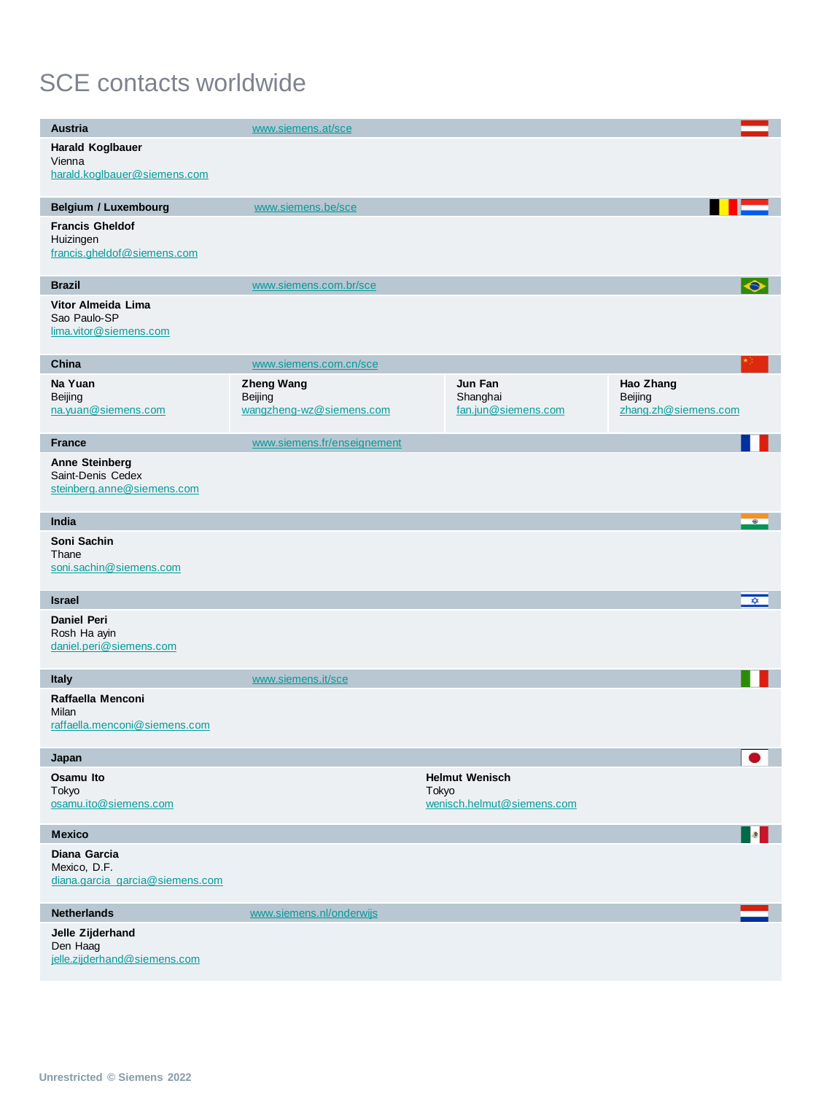## SCE contacts worldwide

| <b>Austria</b>                                                           | www.siemens.at/sce                                       |                                                              |                                              |
|--------------------------------------------------------------------------|----------------------------------------------------------|--------------------------------------------------------------|----------------------------------------------|
| Harald Koglbauer<br>Vienna<br>harald.koglbauer@siemens.com               |                                                          |                                                              |                                              |
|                                                                          |                                                          |                                                              |                                              |
| <b>Belgium / Luxembourg</b>                                              | www.siemens.be/sce                                       |                                                              |                                              |
| <b>Francis Gheldof</b><br>Huizingen<br>francis.gheldof@siemens.com       |                                                          |                                                              |                                              |
| <b>Brazil</b>                                                            | www.siemens.com.br/sce                                   |                                                              | $\bullet$                                    |
| Vitor Almeida Lima<br>Sao Paulo-SP<br>lima.vitor@siemens.com             |                                                          |                                                              |                                              |
| China                                                                    | www.siemens.com.cn/sce                                   |                                                              |                                              |
| Na Yuan<br>Beijing<br>na.yuan@siemens.com                                | <b>Zheng Wang</b><br>Beijing<br>wangzheng-wz@siemens.com | Jun Fan<br>Shanghai<br>fan.jun@siemens.com                   | Hao Zhang<br>Beijing<br>zhang.zh@siemens.com |
| <b>France</b>                                                            | www.siemens.fr/enseignement                              |                                                              |                                              |
| <b>Anne Steinberg</b><br>Saint-Denis Cedex<br>steinberg.anne@siemens.com |                                                          |                                                              |                                              |
| India                                                                    |                                                          |                                                              | $\circ$                                      |
| Soni Sachin<br>Thane<br>soni.sachin@siemens.com                          |                                                          |                                                              |                                              |
| <b>Israel</b>                                                            |                                                          |                                                              | <b>XX</b>                                    |
| <b>Daniel Peri</b><br>Rosh Ha ayin<br>daniel.peri@siemens.com            |                                                          |                                                              |                                              |
| <b>Italy</b>                                                             | www.siemens.it/sce                                       |                                                              |                                              |
| Raffaella Menconi<br>Milan<br>raffaella.menconi@siemens.com              |                                                          |                                                              |                                              |
| Japan                                                                    |                                                          |                                                              |                                              |
| Osamu Ito<br>Tokyo<br>osamu.ito@siemens.com                              |                                                          | <b>Helmut Wenisch</b><br>Tokyo<br>wenisch.helmut@siemens.com |                                              |
| <b>Mexico</b>                                                            |                                                          |                                                              |                                              |
| Diana Garcia<br>Mexico, D.F.<br>diana.garcia garcia@siemens.com          |                                                          |                                                              |                                              |
| <b>Netherlands</b>                                                       | www.siemens.nl/onderwijs                                 |                                                              |                                              |
| Jelle Zijderhand<br>Den Haag<br>jelle.zijderhand@siemens.com             |                                                          |                                                              |                                              |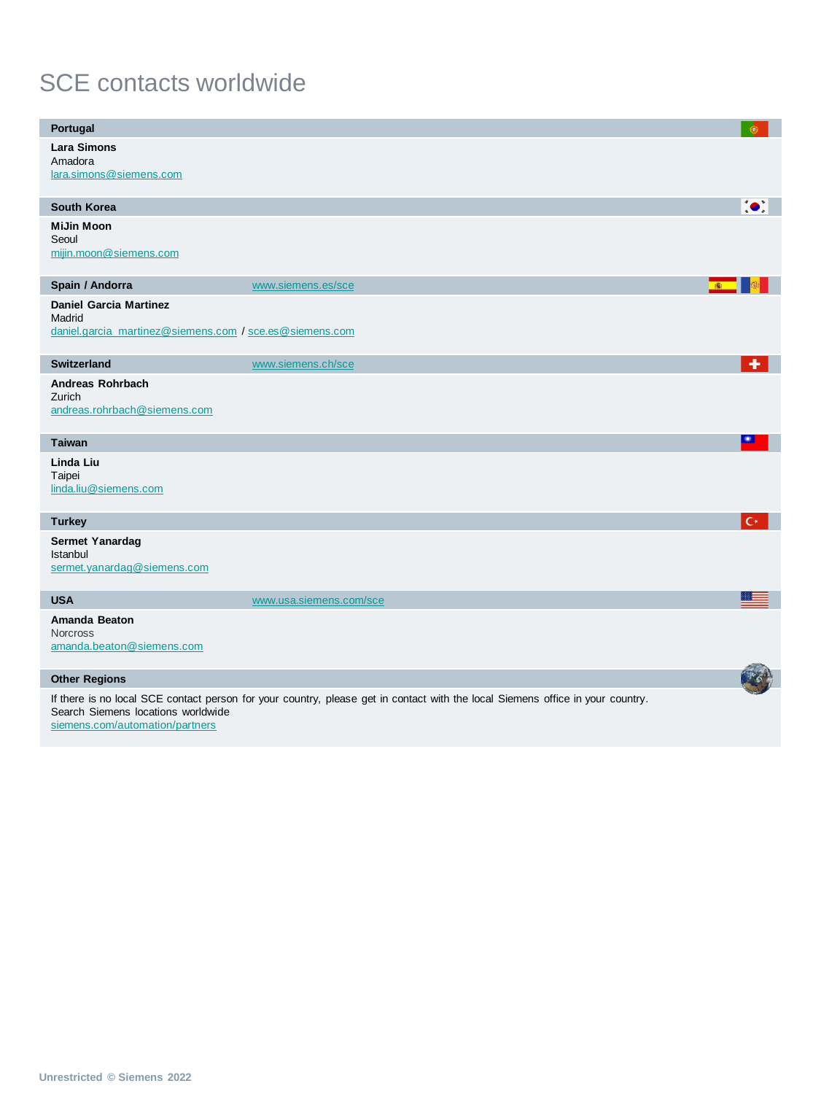## SCE contacts worldwide

| <b>Portugal</b>                                                                                    |                                                                                                                                | $^{\circ}$ |
|----------------------------------------------------------------------------------------------------|--------------------------------------------------------------------------------------------------------------------------------|------------|
| <b>Lara Simons</b><br>Amadora<br>lara.simons@siemens.com                                           |                                                                                                                                |            |
| <b>South Korea</b>                                                                                 |                                                                                                                                | $\bullet$  |
| MiJin Moon<br>Seoul<br>mijin.moon@siemens.com                                                      |                                                                                                                                |            |
| Spain / Andorra                                                                                    | www.siemens.es/sce                                                                                                             |            |
| <b>Daniel Garcia Martinez</b><br>Madrid<br>daniel.garcia_martinez@siemens.com / sce.es@siemens.com |                                                                                                                                |            |
| <b>Switzerland</b>                                                                                 | www.siemens.ch/sce                                                                                                             | ۰          |
| <b>Andreas Rohrbach</b><br>Zurich<br>andreas.rohrbach@siemens.com                                  |                                                                                                                                |            |
| <b>Taiwan</b>                                                                                      |                                                                                                                                | 卷          |
| Linda Liu<br>Taipei<br>linda.liu@siemens.com                                                       |                                                                                                                                |            |
| <b>Turkey</b>                                                                                      |                                                                                                                                | $C^*$      |
| Sermet Yanardag<br>Istanbul<br>sermet.yanardag@siemens.com                                         |                                                                                                                                |            |
| <b>USA</b>                                                                                         | www.usa.siemens.com/sce                                                                                                        |            |
| <b>Amanda Beaton</b><br><b>Norcross</b><br>amanda.beaton@siemens.com                               |                                                                                                                                |            |
| <b>Other Regions</b>                                                                               |                                                                                                                                |            |
| Search Siemens locations worldwide<br>siemens.com/automation/partners                              | If there is no local SCE contact person for your country, please get in contact with the local Siemens office in your country. |            |